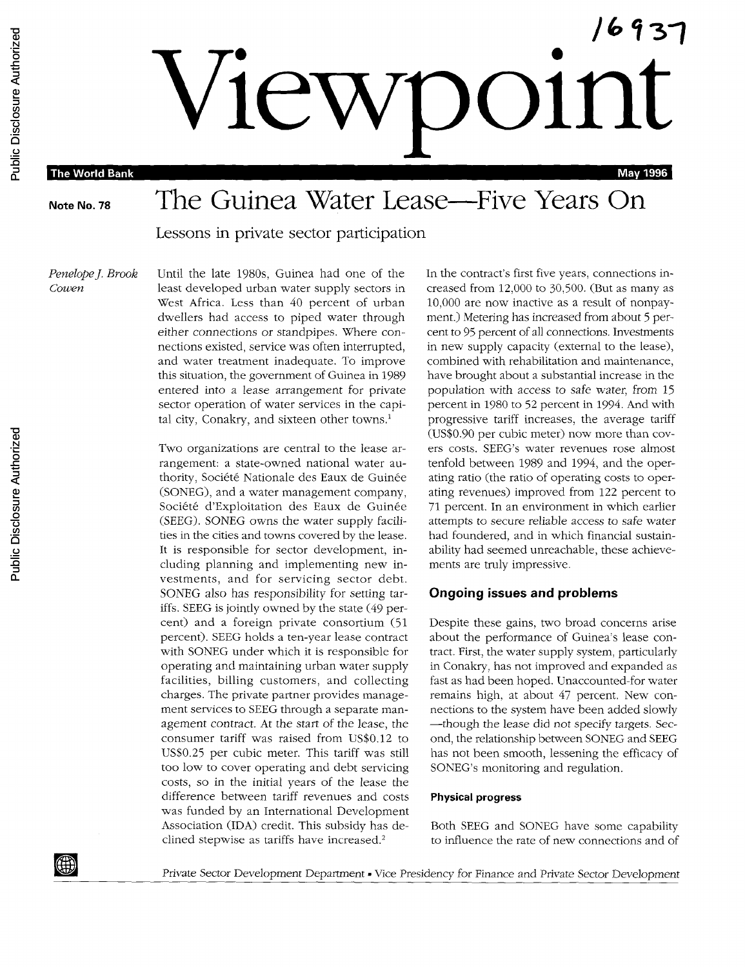**Viewpoint The World Bank May 1996** 

# Note No. 78 The Guinea Water Lease—Five Years On

Lessons in private sector participation

*Penelope J. Brook* Until the late 1980s, Guinea had one of the In the contract's first five years, connections in-*Cowen* least developed urban water supply sectors in creased from 12,000 to 30,500. (But as many as West Africa. Less than 40 percent of urban 10,000 are now inactive as a result of nonpaydwellers had access to piped water through ment.) Metering has increased from about 5 pereither connections or standpipes. Where con- cent to 95 percent of all connections. Investments nections existed, service was often interrupted, in new supply capacity (external to the lease), and water treatment inadequate. To improve combined with rehabilitation and maintenance, this situation, the government of Guinea in 1989 have brought about a substantial increase in the entered into a lease arrangement for private population with access to safe water, from 15 sector operation of water services in the capi-<br>percent in 1980 to 52 percent in 1994. And with

> rangement: a state-owned national water au-<br>tenfold between 1989 and 1994, and the operthority, Société Nationale des Eaux de Guinée ating ratio (the ratio of operating costs to oper-(SONEG), and a water management company, ating revenues) improved from 122 percent to Société d'Exploitation des Eaux de Guinée 71 percent. In an environment in which earlier (SEEG). SONEG owns the water supply facili- attempts to secure reliable access to safe water ties in the cities and towns covered by the lease. had foundered, and in which financial sustain-It is responsible for sector development, in- ability had seemed unreachable, these achievecluding planning and implementing new in- ments are truly impressive. vestments, and for servicing sector debt. SONEG also has responsibility, for setting tar- **Ongoing issues and problems** iffs. SEEG is jointly owned by the state (49 percent) and a foreign private consortium (51 Despite these gains, two broad concerns arise percent). SEEG holds a ten-year lease contract about the performance of Guinea's lease conwith SONEG under which it is responsible for tract. First, the water supply system, particularly operating and maintaining urban water supply in Conakry, has not improved and expanded as facilities, billing customers, and collecting fast as had been hoped. Unaccounted-for water charges. The private partner provides manage- remains high, at about 47 percent. New conment services to SEEG through a separate man- nections to the system have been added slowly agement contract. At the start of the lease, the - ---though the lease did not specify targets. Secconsumer tariff was raised from US\$0.12 to ond, the relationship between SONEG and SEEG too low to cover operating and debt servicing SONEG's monitoring and regulation. costs, so in the initial years of the lease the difference between tariff revenues and costs **Physical progress** was funded by an International Development Association (IDA) credit. This subsidy has de- Both SEEG and SONEG have some capability clined stepwise as tariffs have increased.<sup>2</sup> to influence the rate of new connections and of

> tal city, Conakry, and sixteen other towns.' progressive tariff increases, the average tariff (US\$0.90 per cubic meter) now more than cov-Two organizations are central to the lease ar- ers costs. SEEG's water revenues rose almost

US\$0.25 per cubic meter. This tariff was still has not been smooth, lessening the efficacy of

Private Sector Development Department . Vice Presidency for Finance and Private Sector Development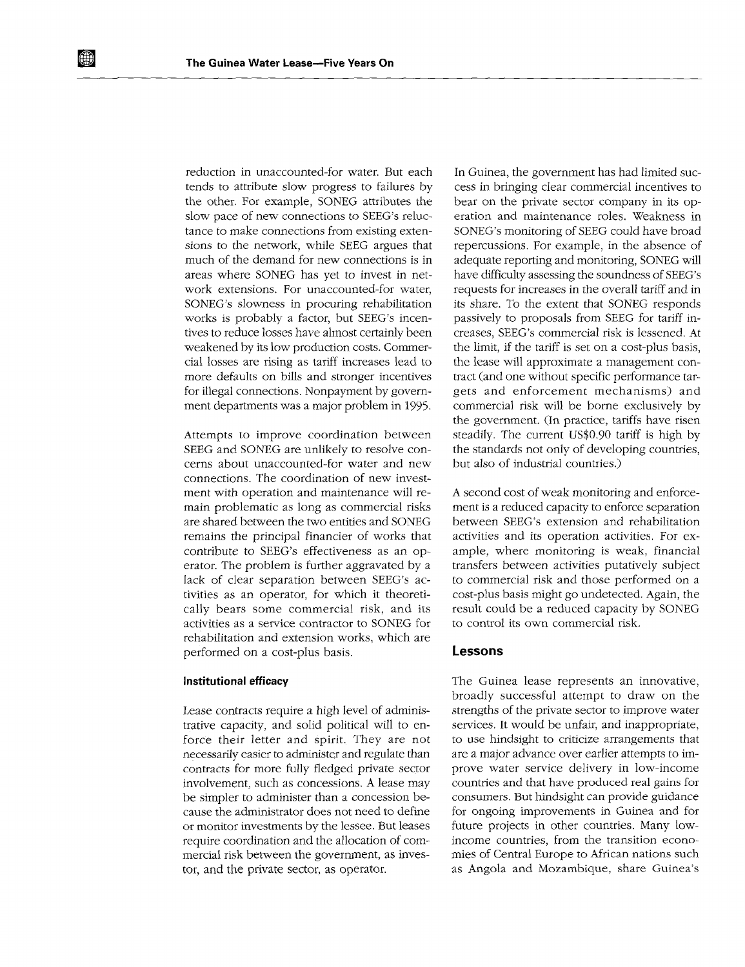tends to attribute slow progress to failures by cess in bringing clear commercial incentives to the other. For example, SONEG attributes the bear on the private sector company in its opslow pace of new connections to SEEG's reluc- eration and maintenance roles. Weakness in tance to make connections from existing exten- SONEG's monitoring of SEEG could have broad much of the demand for new connections is in adequate reporting and monitoring, SONEG will areas where SONEG has yet to invest in net- have difficulty assessing the soundness of SEEG's work extensions. For unaccounted-for water, requests for increases in the overall tariff and in SONEG's slowness in procuring rehabilitation its share. To the extent that SONEG responds works is probably a factor, but SEEG's incen- passively to proposals from SEEG for tariff intives to reduce losses have almost certainly been creases, SEEG's commercial risk is lessened. At weakened by its low production costs. Commer- the limit, if the tariff is set on a cost-plus basis, cial losses are rising as tariff increases lead to the lease will approximate a management conmore defaults on bills and stronger incentives tract (and one without specific performance tarfor illegal connections. Nonpayment by govern- gets and enforcement mechanisms) and

SEEG and SONEG are unlikely to resolve con- the standards not only of developing countries, cerns about unaccounted-for water and new but also of industrial countries.) connections. The coordination of new investment with operation and maintenance will re- A second cost of weak monitoring and enforcemain problematic as long as commercial risks ment is a reduced capacity to enforce separation are shared between the two entities and SONEG between SEEG's extension and rehabilitation remains the principal financier of works that activities and its operation activities. For excontribute to SEEG's effectiveness as an op- ample, where monitoring is weak, financial erator. The problem is further aggravated by a transfers between activities putatively subject lack of clear separation between SEEG's ac- to commercial risk and those performed on a tivities as an operator, for which it theoreti- cost-plus basis might go undetected. Again, the cally bears some commercial risk, and its result could be a reduced capacity by SONEG activities as a service contractor to SONEG for to control its own commercial risk. rehabilitation and extension works, which are performed on a cost-plus basis. **Lessons**

trative capacity, and solid political will to en- services. It would be unfair, and inappropriate, force their letter and spirit. They are not to use hindsight to criticize arrangements that necessarily easier to administer and regulate than are a major advance over earlier attempts to imcontracts for more fully fledged private sector prove water service delivery in low-income involvement, such as concessions. A lease may countries and that have produced real gains for<br>be simpler to administer than a concession be-<br>consumers. But hindsight can provide guidance be simpler to administer than a concession because the administrator does not need to define for ongoing improvements in Guinea and for or monitor investments by the lessee. But leases future projects in other countries. Many lowrequire coordination and the allocation of com- income countries, from the transition economercial risk between the government, as inves- mies of Central Europe to African nations such tor, and the private sector, as operator. <br>
as Angola and Mozambique, share Guinea's

reduction in unaccounted-for water. But each In Guinea, the government has had limited sucsions to the network, while SEEG argues that repercussions. For example, in the absence of ment departments was a major problem in 1995. commercial risk will be borne exclusively by the government. (In practice, tariffs have risen Attempts to improve coordination between steadily. The current US\$0.90 tariff is high by

**Institutional efficacy The Guinea lease represents an innovative,** broadly successful attempt to draw on the Lease contracts require a high level of adminis- strengths of the private sector to improve water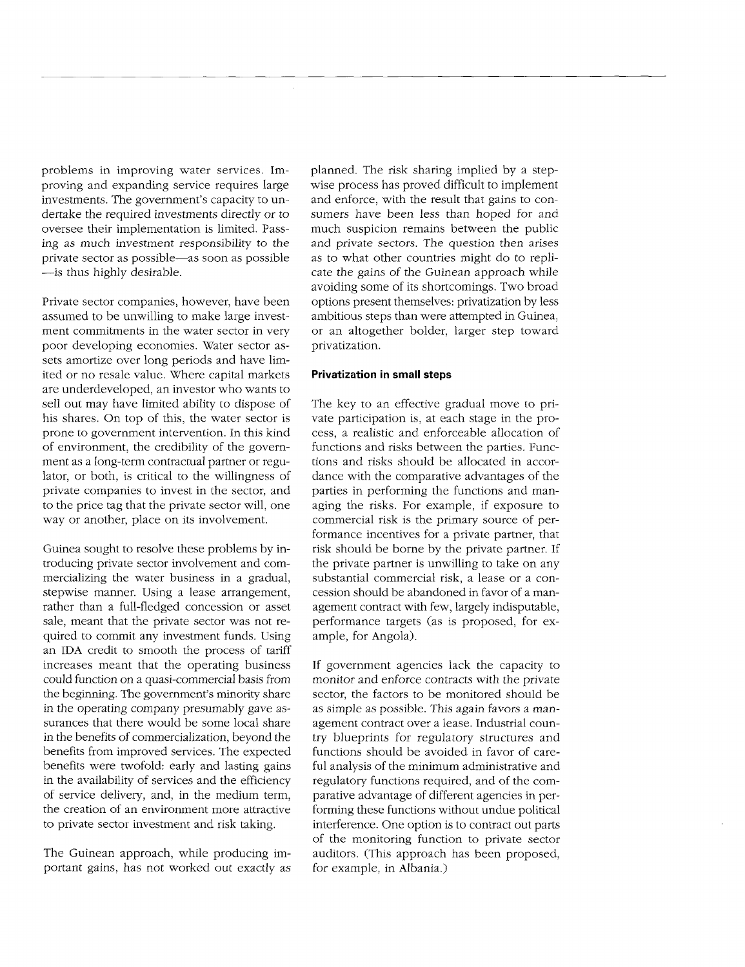problems in improving water services. Im- planned. The risk sharing implied by a stepproving and expanding service requires large wise process has proved difficult to implement investments. The government's capacity to un- and enforce, with the result that gains to condertake the required investments directly or to sumers have been less than hoped for and oversee their implementation is limited. Pass- much suspicion remains between the public ing as much investment responsibility to the and private sectors. The question then arises private sector as possible-as soon as possible as to what other countries might do to repli- -is thus highly desirable. cate the gains of the Guinean approach while

assumed to be unwilling to make large invest- ambitious steps than were attempted in Guinea, ment commitments in the water sector in very or an altogether bolder, larger step toward poor developing economies. Water sector as- privatization. sets amortize over long periods and have limited or no resale value. Where capital markets **Privatization in small steps** are underdeveloped, an investor who wants to sell out may have limited ability to dispose of The key to an effective gradual move to prihis shares. On top of this, the water sector is vate participation is, at each stage in the proprone to government intervention. In this kind cess, a realistic and enforceable allocation of of environment, the credibility of the govern- functions and risks between the parties. Funcment as a long-term contractual partner or regu- tions and risks should be allocated in accorlator, or both, is critical to the willingness of dance with the comparative advantages of the private companies to invest in the sector, and parties in performing the functions and manto the price tag that the private sector will, one aging the risks. For example, if exposure to

troducing private sector involvement and com- the private partner is unwilling to take on any mercializing the water business in a gradual, substantial commercial risk, a lease or a constepwise manner. Using a lease arrangement, cession should be abandoned in favor of a manrather than a full-fledged concession or asset agement contract with few, largely indisputable, sale, meant that the private sector was not re- performance targets (as is proposed, for exquired to commit any investment funds. Using ample, for Angola). an IDA credit to smooth the process of tariff increases meant that the operating business If government agencies lack the capacity to could function on a quasi-commercial basis from monitor and enforce contracts with the private the beginning. The government's minority share sector, the factors to be monitored should be in the operating company presumably gave as- as simple as possible. This again favors a mansurances that there would be some local share agement contract over a lease. Industrial counin the benefits of commercialization, beyond the try blueprints for regulatory structures and benefits from improved services. The expected functions should be avoided in favor of carebenefits were twofold: early and lasting gains ful analysis of the minimum administrative and in the availability of services and the efficiency regulatory functions required, and of the comof service delivery, and, in the medium term, parative advantage of different agencies in perthe creation of an environment more attractive forming these functions without undue political

portant gains, has not worked out exactly as for example, in Albania.)

avoiding some of its shortcomings. Two broad Private sector companies, however, have been options present themselves: privatization by less

way or another, place on its involvement. commercial risk is the primary source of performance incentives for a private partner, that Guinea sought to resolve these problems by in- risk should be borne by the private partner. If

to private sector investment and risk taking. interference. One option is to contract out parts of the monitoring function to private sector The Guinean approach, while producing im- auditors. (This approach has been proposed,